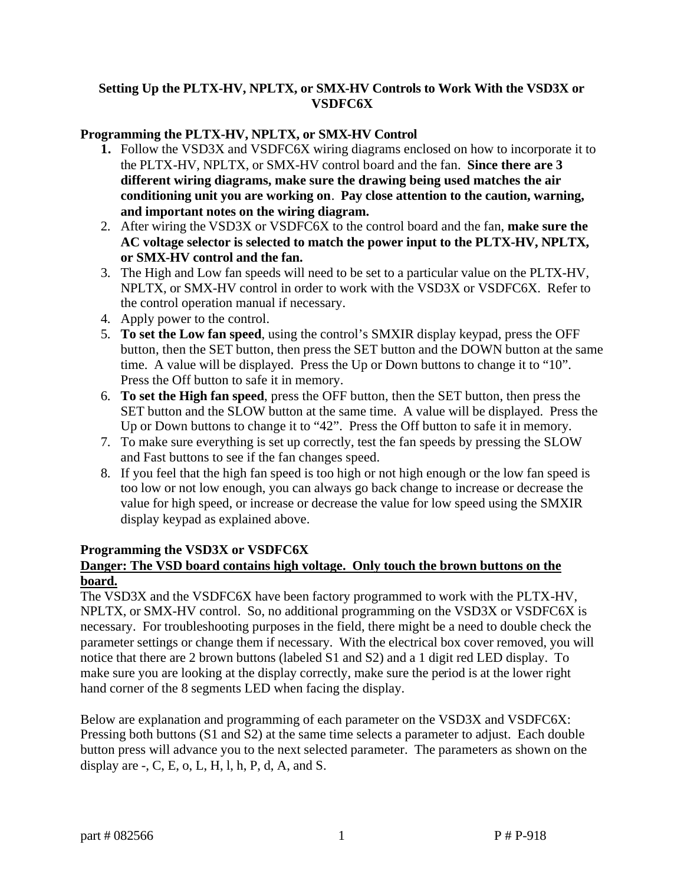## **Setting Up the PLTX-HV, NPLTX, or SMX-HV Controls to Work With the VSD3X or VSDFC6X**

### **Programming the PLTX-HV, NPLTX, or SMX-HV Control**

- **1.** Follow the VSD3X and VSDFC6X wiring diagrams enclosed on how to incorporate it to the PLTX-HV, NPLTX, or SMX-HV control board and the fan. **Since there are 3 different wiring diagrams, make sure the drawing being used matches the air conditioning unit you are working on**. **Pay close attention to the caution, warning, and important notes on the wiring diagram.**
- 2. After wiring the VSD3X or VSDFC6X to the control board and the fan, **make sure the AC voltage selector is selected to match the power input to the PLTX-HV, NPLTX, or SMX-HV control and the fan.**
- 3. The High and Low fan speeds will need to be set to a particular value on the PLTX-HV, NPLTX, or SMX-HV control in order to work with the VSD3X or VSDFC6X. Refer to the control operation manual if necessary.
- 4. Apply power to the control.
- 5. **To set the Low fan speed**, using the control's SMXIR display keypad, press the OFF button, then the SET button, then press the SET button and the DOWN button at the same time. A value will be displayed. Press the Up or Down buttons to change it to "10". Press the Off button to safe it in memory.
- 6. **To set the High fan speed**, press the OFF button, then the SET button, then press the SET button and the SLOW button at the same time. A value will be displayed. Press the Up or Down buttons to change it to "42". Press the Off button to safe it in memory.
- 7. To make sure everything is set up correctly, test the fan speeds by pressing the SLOW and Fast buttons to see if the fan changes speed.
- 8. If you feel that the high fan speed is too high or not high enough or the low fan speed is too low or not low enough, you can always go back change to increase or decrease the value for high speed, or increase or decrease the value for low speed using the SMXIR display keypad as explained above.

#### **Programming the VSD3X or VSDFC6X**

# **Danger: The VSD board contains high voltage. Only touch the brown buttons on the board.**

The VSD3X and the VSDFC6X have been factory programmed to work with the PLTX-HV, NPLTX, or SMX-HV control. So, no additional programming on the VSD3X or VSDFC6X is necessary. For troubleshooting purposes in the field, there might be a need to double check the parameter settings or change them if necessary. With the electrical box cover removed, you will notice that there are 2 brown buttons (labeled S1 and S2) and a 1 digit red LED display. To make sure you are looking at the display correctly, make sure the period is at the lower right hand corner of the 8 segments LED when facing the display.

Below are explanation and programming of each parameter on the VSD3X and VSDFC6X: Pressing both buttons (S1 and S2) at the same time selects a parameter to adjust. Each double button press will advance you to the next selected parameter. The parameters as shown on the display are  $-L$ , C, E, o, L, H, l, h, P, d, A, and S.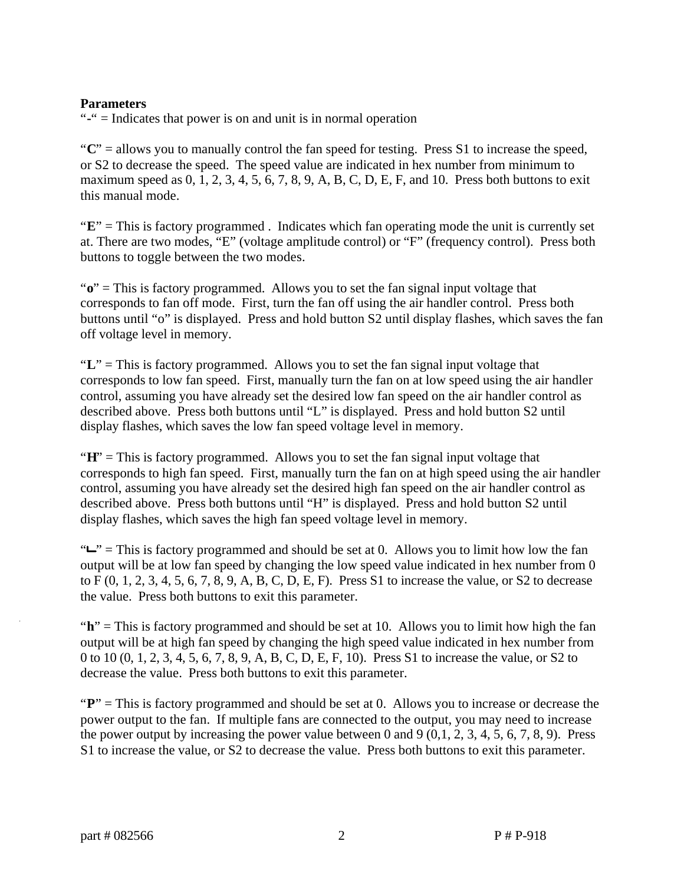### **Parameters**

"**-**" = Indicates that power is on and unit is in normal operation

"**C**" = allows you to manually control the fan speed for testing. Press S1 to increase the speed, or S2 to decrease the speed. The speed value are indicated in hex number from minimum to maximum speed as  $0, 1, 2, 3, 4, 5, 6, 7, 8, 9, A, B, C, D, E, F$ , and 10. Press both buttons to exit this manual mode.

"**E**" = This is factory programmed . Indicates which fan operating mode the unit is currently set at. There are two modes, "E" (voltage amplitude control) or "F" (frequency control). Press both buttons to toggle between the two modes.

" $\mathbf{o}$ " = This is factory programmed. Allows you to set the fan signal input voltage that corresponds to fan off mode. First, turn the fan off using the air handler control. Press both buttons until "o" is displayed. Press and hold button S2 until display flashes, which saves the fan off voltage level in memory.

"**L**" = This is factory programmed. Allows you to set the fan signal input voltage that corresponds to low fan speed. First, manually turn the fan on at low speed using the air handler control, assuming you have already set the desired low fan speed on the air handler control as described above. Press both buttons until "L" is displayed. Press and hold button S2 until display flashes, which saves the low fan speed voltage level in memory.

"**H**" = This is factory programmed. Allows you to set the fan signal input voltage that corresponds to high fan speed. First, manually turn the fan on at high speed using the air handler control, assuming you have already set the desired high fan speed on the air handler control as described above. Press both buttons until "H" is displayed. Press and hold button S2 until display flashes, which saves the high fan speed voltage level in memory.

" $L$ " = This is factory programmed and should be set at 0. Allows you to limit how low the fan output will be at low fan speed by changing the low speed value indicated in hex number from 0 to F (0, 1, 2, 3, 4, 5, 6, 7, 8, 9, A, B, C, D, E, F). Press S1 to increase the value, or S2 to decrease the value. Press both buttons to exit this parameter.

"h" = This is factory programmed and should be set at 10. Allows you to limit how high the fan output will be at high fan speed by changing the high speed value indicated in hex number from 0 to 10 (0, 1, 2, 3, 4, 5, 6, 7, 8, 9, A, B, C, D, E, F, 10). Press S1 to increase the value, or S2 to decrease the value. Press both buttons to exit this parameter.

"P" = This is factory programmed and should be set at 0. Allows you to increase or decrease the power output to the fan. If multiple fans are connected to the output, you may need to increase the power output by increasing the power value between 0 and 9  $(0,1, 2, 3, 4, 5, 6, 7, 8, 9)$ . Press S1 to increase the value, or S2 to decrease the value. Press both buttons to exit this parameter.